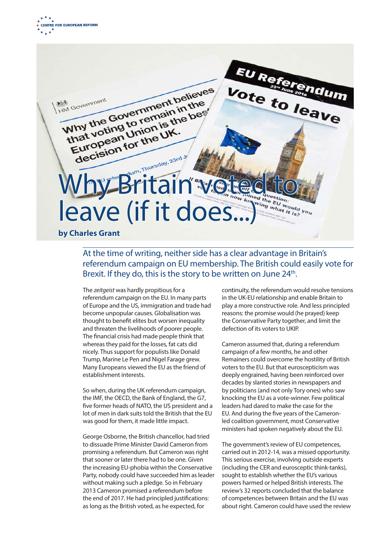

EU Referendum Why the Government believes Vote to leave Why dovernment believe HM Government decision for the decision Thy the Union is the UK.<br>That voting Union is the<br>European for the UK.<br>decision for the UK. Thy Britain We leave (if it does.. **by Charles Grant** 

## At the time of writing, neither side has a clear advantage in Britain's referendum campaign on EU membership. The British could easily vote for Brexit. If they do, this is the story to be written on June 24<sup>th</sup>.

The *zeitgeist* was hardly propitious for a referendum campaign on the EU. In many parts of Europe and the US, immigration and trade had become unpopular causes. Globalisation was thought to benefit elites but worsen inequality and threaten the livelihoods of poorer people. The financial crisis had made people think that whereas they paid for the losses, fat cats did nicely. Thus support for populists like Donald Trump, Marine Le Pen and Nigel Farage grew. Many Europeans viewed the EU as the friend of establishment interests.

So when, during the UK referendum campaign, the IMF, the OECD, the Bank of England, the G7, five former heads of NATO, the US president and a lot of men in dark suits told the British that the EU was good for them, it made little impact.

George Osborne, the British chancellor, had tried to dissuade Prime Minister David Cameron from promising a referendum. But Cameron was right that sooner or later there had to be one. Given the increasing EU-phobia within the Conservative Party, nobody could have succeeded him as leader without making such a pledge. So in February 2013 Cameron promised a referendum before the end of 2017. He had principled justifications: as long as the British voted, as he expected, for

continuity, the referendum would resolve tensions in the UK-EU relationship and enable Britain to play a more constructive role. And less principled reasons: the promise would (he prayed) keep the Conservative Party together, and limit the defection of its voters to UKIP.

Cameron assumed that, during a referendum campaign of a few months, he and other Remainers could overcome the hostility of British voters to the EU. But that euroscepticism was deeply engrained, having been reinforced over decades by slanted stories in newspapers and by politicians (and not only Tory ones) who saw knocking the EU as a vote-winner. Few political leaders had dared to make the case for the EU. And during the five years of the Cameronled coalition government, most Conservative ministers had spoken negatively about the EU.

The government's review of EU competences, carried out in 2012-14, was a missed opportunity. This serious exercise, involving outside experts (including the CER and eurosceptic think-tanks), sought to establish whether the EU's various powers harmed or helped British interests. The review's 32 reports concluded that the balance of competences between Britain and the EU was about right. Cameron could have used the review